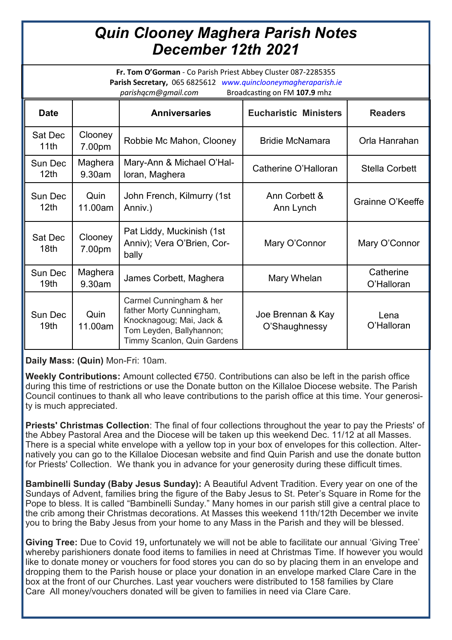## *Quin Clooney Maghera Parish Notes December 12th 2021*

**Fr. Tom O'Gorman** - Co Parish Priest Abbey Cluster 087-2285355 **Parish Secretary,** 065 6825612 *www.quinclooneymagheraparish.ie parishqcm@gmail.com* Broadcasting on FM **107.9** mhz

| <b>DI Oducasting Off Fivil 107.5 THIRE</b> |                   |                                                                                                                                            |                                    |                         |
|--------------------------------------------|-------------------|--------------------------------------------------------------------------------------------------------------------------------------------|------------------------------------|-------------------------|
| <b>Date</b>                                |                   | <b>Anniversaries</b>                                                                                                                       | <b>Eucharistic Ministers</b>       | <b>Readers</b>          |
| Sat Dec<br>11th                            | Clooney<br>7.00pm | Robbie Mc Mahon, Clooney                                                                                                                   | <b>Bridie McNamara</b>             | Orla Hanrahan           |
| Sun Dec<br>12 <sub>th</sub>                | Maghera<br>9.30am | Mary-Ann & Michael O'Hal-<br>loran, Maghera                                                                                                | Catherine O'Halloran               | <b>Stella Corbett</b>   |
| Sun Dec<br>12 <sub>th</sub>                | Quin<br>11.00am   | John French, Kilmurry (1st<br>Anniv.)                                                                                                      | Ann Corbett &<br>Ann Lynch         | Grainne O'Keeffe        |
| Sat Dec<br>18 <sub>th</sub>                | Clooney<br>7.00pm | Pat Liddy, Muckinish (1st<br>Anniv); Vera O'Brien, Cor-<br>bally                                                                           | Mary O'Connor                      | Mary O'Connor           |
| Sun Dec<br>19 <sub>th</sub>                | Maghera<br>9.30am | James Corbett, Maghera                                                                                                                     | Mary Whelan                        | Catherine<br>O'Halloran |
| Sun Dec<br>19th                            | Quin<br>11.00am   | Carmel Cunningham & her<br>father Morty Cunningham,<br>Knocknagoug; Mai, Jack &<br>Tom Leyden, Ballyhannon;<br>Timmy Scanlon, Quin Gardens | Joe Brennan & Kay<br>O'Shaughnessy | Lena<br>O'Halloran      |

**Daily Mass: (Quin)** Mon-Fri: 10am.

**Weekly Contributions:** Amount collected €750. Contributions can also be left in the parish office during this time of restrictions or use the Donate button on the Killaloe Diocese website. The Parish Council continues to thank all who leave contributions to the parish office at this time. Your generosity is much appreciated.

**Priests' Christmas Collection**: The final of four collections throughout the year to pay the Priests' of the Abbey Pastoral Area and the Diocese will be taken up this weekend Dec. 11/12 at all Masses. There is a special white envelope with a yellow top in your box of envelopes for this collection. Alternatively you can go to the Killaloe Diocesan website and find Quin Parish and use the donate button for Priests' Collection. We thank you in advance for your generosity during these difficult times.

**Bambinelli Sunday (Baby Jesus Sunday):** A Beautiful Advent Tradition. Every year on one of the Sundays of Advent, families bring the figure of the Baby Jesus to St. Peter's Square in Rome for the Pope to bless. It is called "Bambinelli Sunday." Many homes in our parish still give a central place to the crib among their Christmas decorations. At Masses this weekend 11th/12th December we invite you to bring the Baby Jesus from your home to any Mass in the Parish and they will be blessed.

**Giving Tree:** Due to Covid 19**,** unfortunately we will not be able to facilitate our annual 'Giving Tree' whereby parishioners donate food items to families in need at Christmas Time. If however you would like to donate money or vouchers for food stores you can do so by placing them in an envelope and dropping them to the Parish house or place your donation in an envelope marked Clare Care in the box at the front of our Churches. Last year vouchers were distributed to 158 families by Clare Care All money/vouchers donated will be given to families in need via Clare Care.